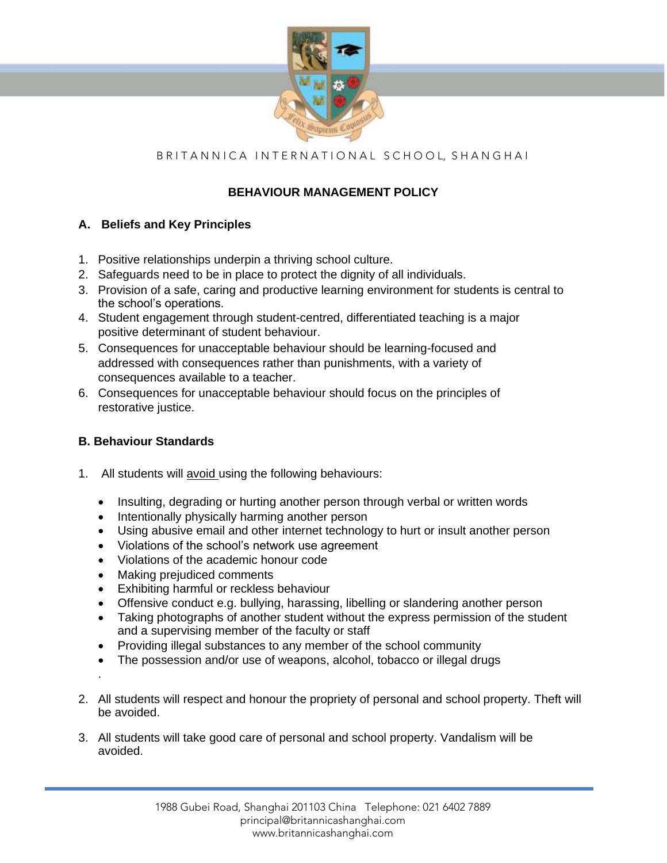

# B R I T A N N I C A I N T E R N A T I O N A L S C H O O L, S H A N G H A I

## **BEHAVIOUR MANAGEMENT POLICY**

## **A. Beliefs and Key Principles**

- 1. Positive relationships underpin a thriving school culture.
- 2. Safeguards need to be in place to protect the dignity of all individuals.
- 3. Provision of a safe, caring and productive learning environment for students is central to the school's operations.
- 4. Student engagement through student-centred, differentiated teaching is a major positive determinant of student behaviour.
- 5. Consequences for unacceptable behaviour should be learning-focused and addressed with consequences rather than punishments, with a variety of consequences available to a teacher.
- 6. Consequences for unacceptable behaviour should focus on the principles of restorative justice.

## **B. Behaviour Standards**

- 1. All students will avoid using the following behaviours:
	- Insulting, degrading or hurting another person through verbal or written words
	- Intentionally physically harming another person
	- Using abusive email and other internet technology to hurt or insult another person
	- Violations of the school's network use agreement
	- Violations of the academic honour code
	- Making prejudiced comments
	- Exhibiting harmful or reckless behaviour
	- Offensive conduct e.g. bullying, harassing, libelling or slandering another person
	- Taking photographs of another student without the express permission of the student and a supervising member of the faculty or staff
	- Providing illegal substances to any member of the school community
	- The possession and/or use of weapons, alcohol, tobacco or illegal drugs
	- .
- 2. All students will respect and honour the propriety of personal and school property. Theft will be avoided.
- 3. All students will take good care of personal and school property. Vandalism will be avoided.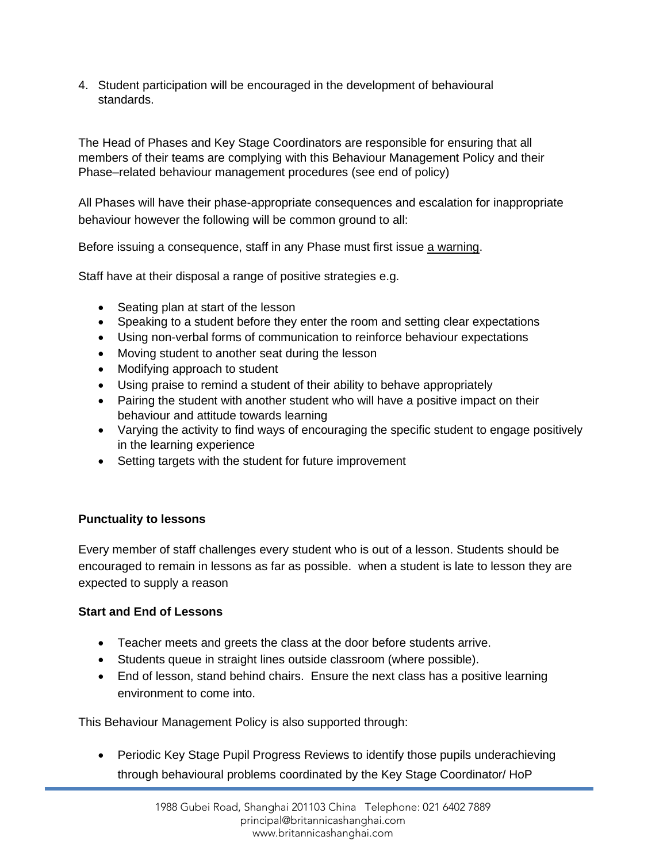4. Student participation will be encouraged in the development of behavioural standards.

The Head of Phases and Key Stage Coordinators are responsible for ensuring that all members of their teams are complying with this Behaviour Management Policy and their Phase–related behaviour management procedures (see end of policy)

All Phases will have their phase-appropriate consequences and escalation for inappropriate behaviour however the following will be common ground to all:

Before issuing a consequence, staff in any Phase must first issue a warning.

Staff have at their disposal a range of positive strategies e.g.

- Seating plan at start of the lesson
- Speaking to a student before they enter the room and setting clear expectations
- Using non-verbal forms of communication to reinforce behaviour expectations
- Moving student to another seat during the lesson
- Modifying approach to student
- Using praise to remind a student of their ability to behave appropriately
- Pairing the student with another student who will have a positive impact on their behaviour and attitude towards learning
- Varying the activity to find ways of encouraging the specific student to engage positively in the learning experience
- Setting targets with the student for future improvement

## **Punctuality to lessons**

Every member of staff challenges every student who is out of a lesson. Students should be encouraged to remain in lessons as far as possible. when a student is late to lesson they are expected to supply a reason

## **Start and End of Lessons**

- Teacher meets and greets the class at the door before students arrive.
- Students queue in straight lines outside classroom (where possible).
- End of lesson, stand behind chairs. Ensure the next class has a positive learning environment to come into.

This Behaviour Management Policy is also supported through:

• Periodic Key Stage Pupil Progress Reviews to identify those pupils underachieving through behavioural problems coordinated by the Key Stage Coordinator/ HoP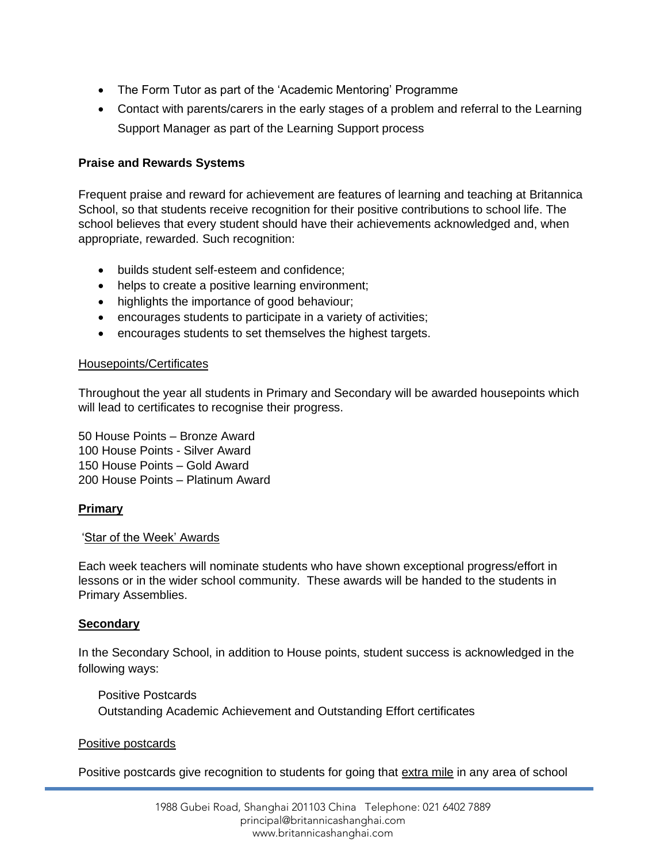- The Form Tutor as part of the 'Academic Mentoring' Programme
- Contact with parents/carers in the early stages of a problem and referral to the Learning Support Manager as part of the Learning Support process

## **Praise and Rewards Systems**

Frequent praise and reward for achievement are features of learning and teaching at Britannica School, so that students receive recognition for their positive contributions to school life. The school believes that every student should have their achievements acknowledged and, when appropriate, rewarded. Such recognition:

- builds student self-esteem and confidence;
- helps to create a positive learning environment;
- highlights the importance of good behaviour;
- encourages students to participate in a variety of activities;
- encourages students to set themselves the highest targets.

## Housepoints/Certificates

Throughout the year all students in Primary and Secondary will be awarded housepoints which will lead to certificates to recognise their progress.

50 House Points – Bronze Award 100 House Points - Silver Award 150 House Points – Gold Award 200 House Points – Platinum Award

## **Primary**

### 'Star of the Week' Awards

Each week teachers will nominate students who have shown exceptional progress/effort in lessons or in the wider school community. These awards will be handed to the students in Primary Assemblies.

## **Secondary**

In the Secondary School, in addition to House points, student success is acknowledged in the following ways:

Positive Postcards Outstanding Academic Achievement and Outstanding Effort certificates

### Positive postcards

Positive postcards give recognition to students for going that extra mile in any area of school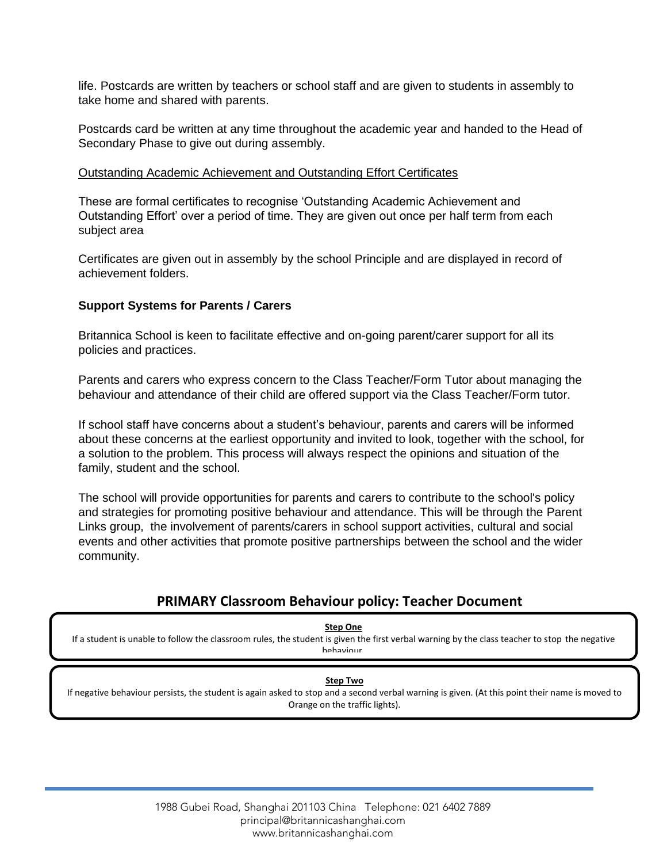life. Postcards are written by teachers or school staff and are given to students in assembly to take home and shared with parents.

Postcards card be written at any time throughout the academic year and handed to the Head of Secondary Phase to give out during assembly.

## Outstanding Academic Achievement and Outstanding Effort Certificates

These are formal certificates to recognise 'Outstanding Academic Achievement and Outstanding Effort' over a period of time. They are given out once per half term from each subject area

Certificates are given out in assembly by the school Principle and are displayed in record of achievement folders.

## **Support Systems for Parents / Carers**

Britannica School is keen to facilitate effective and on-going parent/carer support for all its policies and practices.

Parents and carers who express concern to the Class Teacher/Form Tutor about managing the behaviour and attendance of their child are offered support via the Class Teacher/Form tutor.

If school staff have concerns about a student's behaviour, parents and carers will be informed about these concerns at the earliest opportunity and invited to look, together with the school, for a solution to the problem. This process will always respect the opinions and situation of the family, student and the school.

The school will provide opportunities for parents and carers to contribute to the school's policy and strategies for promoting positive behaviour and attendance. This will be through the Parent Links group, the involvement of parents/carers in school support activities, cultural and social events and other activities that promote positive partnerships between the school and the wider community.

## **PRIMARY Classroom Behaviour policy: Teacher Document**

**Step One**

If a student is unable to follow the classroom rules, the student is given the first verbal warning by the class teacher to stop the negative hehaviour

### **Step Two**

If negative behaviour persists, the student is again asked to stop and a second verbal warning is given. (At this point their name is moved to Orange on the traffic lights).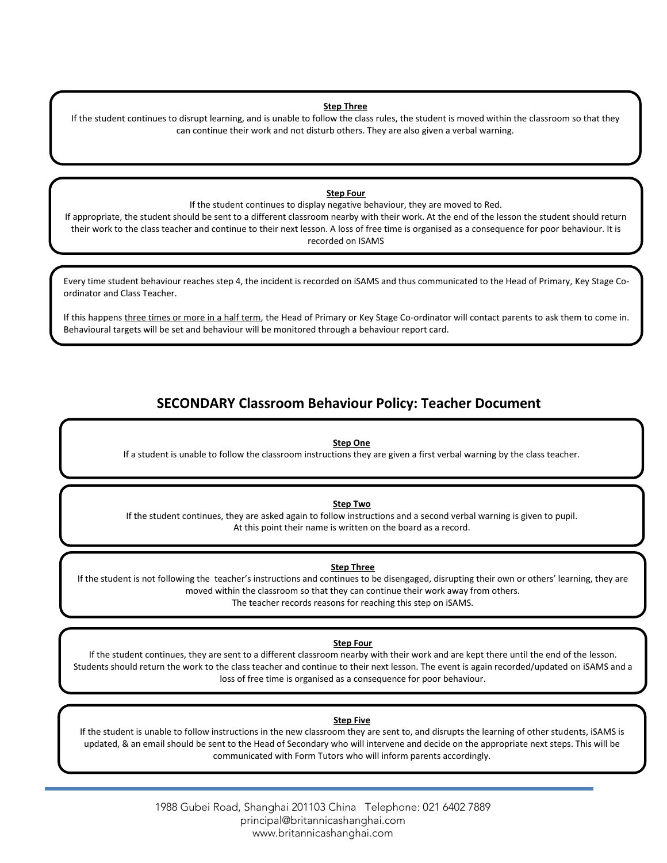### **Step Three**

If the student continues to disrupt learning, and is unable to follow the class rules, the student is moved within the classroom so that they can continue their work and not disturb others. They are also given a verbal warning.

### **Step Four**

If the student continues to display negative behaviour, they are moved to Red. If appropriate, the student should be sent to a different classroom nearby with their work. At the end of the lesson the student should return their work to the class teacher and continue to their next lesson. A loss of free time is organised as a consequence for poor behaviour. It is recorded on ISAMS

Every time student behaviour reaches step 4, the incident is recorded on iSAMS and thus communicated to the Head of Primary, Key Stage Coordinator and Class Teacher.

If this happens three times or more in a half term, the Head of Primary or Key Stage Co-ordinator will contact parents to ask them to come in. Behavioural targets will be set and behaviour will be monitored through a behaviour report card.

## **SECONDARY Classroom Behaviour Policy: Teacher Document**

### **Step One**

If a student is unable to follow the classroom instructions they are given a first verbal warning by the class teacher.

#### **Step Two**

If the student continues, they are asked again to follow instructions and a second verbal warning is given to pupil. At this point their name is written on the board as a record.

#### **Step Three**

If the student is not following the teacher's instructions and continues to be disengaged, disrupting their own or others' learning, they are moved within the classroom so that they can continue their work away from others. The teacher records reasons for reaching this step on iSAMS.

### **Step Four**

If the student continues, they are sent to a different classroom nearby with their work and are kept there until the end of the lesson. Students should return the work to the class teacher and continue to their next lesson. The event is again recorded/updated on iSAMS and a loss of free time is organised as a consequence for poor behaviour.

#### **Step Five**

If the student is unable to follow instructions in the new classroom they are sent to, and disrupts the learning of other students, iSAMS is updated, & an email should be sent to the Head of Secondary who will intervene and decide on the appropriate next steps. This will be communicated with Form Tutors who will inform parents accordingly.

> 1988 Gubei Road, Shanghai 201103 China Telephone: 021 6402 7889 principal@britannicashanghai.com www.britannicashanghai.com